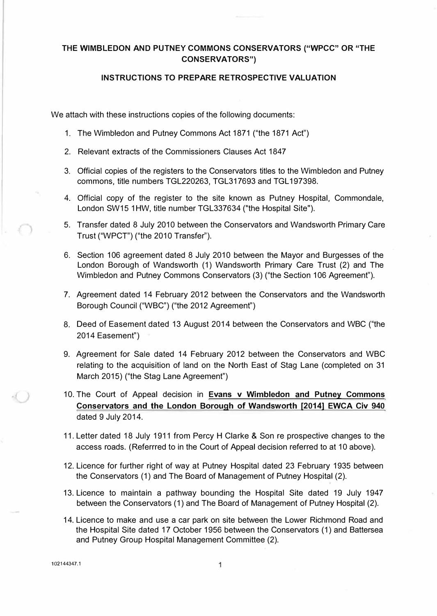## **THE WIMBLEDON AND PUTNEY COMMONS CONSERVATORS ("WPCC" OR "THE CONSERVATORS")**

### **INSTRUCTIONS TO PREPARE RETROSPECTIVE VALUATION**

We attach with these instructions copies of the following documents:

- 1. The Wimbledon and Putney Commons Act 1871 ("the 1871 Act")
- 2. Relevant extracts of the Commissioners Clauses Act 1847
- 3. Official copies of the registers to the Conservators titles to the Wimbledon and Putney commons, title numbers TGL220263, TGL317693 and TGL 197398.
- 4. Official copy of the register to the site known as Putney Hospital, Commondale, London SW15 1HW, title number TGL337634 ("the Hospital Site").
- 5. Transfer dated 8 July 2010 between the Conservators and Wandsworth Primary Care Trust ("WPCT") ("the 2010 Transfer").
- 6. Section 106 agreement dated 8 July 2010 between the Mayor and Burgesses of the London Borough of Wandsworth (1) Wandsworth Primary Care Trust (2) and The Wimbledon and Putney Commons Conservators (3) ("the Section 106 Agreement").
- 7. Agreement dated 14 February 2012 between the Conservators and the Wandsworth Borough Council ("WBC") ("the 2012 Agreement")
- 8. Deed of Easement dated 13 August 2014 between the Conservators and WBC ("the 2014 Easement")
- 9. Agreement for Sale dated 14 February 2012 between the Conservators and WBC relating to the acquisition of land on the North East of Stag Lane (completed on 31 March 2015) ("the Stag Lane Agreement")
- 10. The Court of Appeal decision in **Evans v Wimbledon and Putney Commons Conservators and the London Borough of Wandsworth [2014] EWCA Civ 940** dated 9 July 2014.
- 11. Letter dated 18 July 1911 from Percy H Clarke & Son re prospective changes to the access roads. (Referrred to in the Court of Appeal decision referred to at 10 above).
- 12. Licence for further right of way at Putney Hospital dated 23 February 1935 between the Conservators (1) and The Board of Management of Putney Hospital (2).
- 13. Licence to maintain a pathway bounding the Hospital Site dated 19 July 1947 between the Conservators (1) and The Board of Management of Putney Hospital (2).
- 14. Licence to make and use a car park on site between the Lower Richmond Road and the Hospital Site dated 17 October 1956 between the Conservators ( 1) and Battersea and Putney Group Hospital Management Committee (2).

102144347.1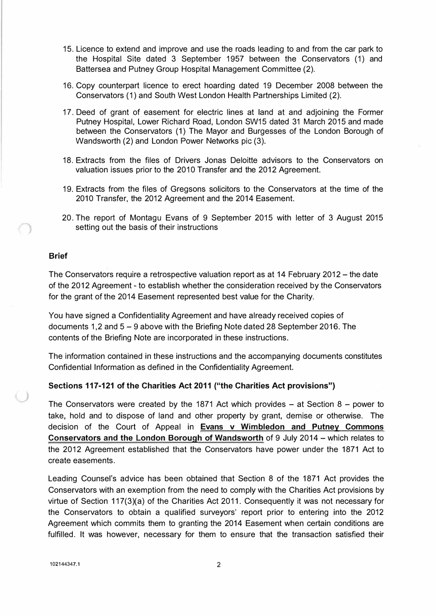- 15. Licence to extend and improve and use the roads leading to and from the car park to the Hospital Site dated 3 September 1957 between the Conservators (1) and Battersea and Putney Group Hospital Management Committee (2).
- 16. Copy counterpart licence to erect hoarding dated 19 December 2008 between the Conservators (1) and South West London Health Partnerships Limited (2).
- 17. Deed of grant of easement for electric lines at land at and adjoining the Former Putney Hospital, Lower Richard Road, London SW15 dated 31 March 2015 and made between the Conservators (1) The Mayor and Burgesses of the London Borough of Wandsworth (2) and London Power Networks pie (3).
- 18. Extracts from the files of Drivers Jonas Deloitte advisors to the Conservators on valuation issues prior to the 2010 Transfer and the 2012 Agreement.
- 19. Extracts from the files of Gregsons solicitors to the Conservators at the time of the 2010 Transfer, the 2012 Agreement and the 2014 Easement.
- 20. The report of Montagu Evans of 9 September 2015 with letter of 3 August 2015 setting out the basis of their instructions

#### **Brief**

The Conservators require a retrospective valuation report as at 14 February 2012 - the date of the 2012 Agreement - to establish whether the consideration received by the Conservators for the grant of the 2014 Easement represented best value for the Charity.

You have signed a Confidentiality Agreement and have already received copies of documents 1,2 and 5 - 9 above with the Briefing Note dated 28 September 2016. The contents of the Briefing Note are incorporated in these instructions.

The information contained in these instructions and the accompanying documents constitutes Confidential Information as defined in the Confidentiality Agreement.

#### **Sections 117-121 of the Charities Act 2011 ("the Charities Act provisions")**

The Conservators were created by the 1871 Act which provides  $-$  at Section 8  $-$  power to take, hold and to dispose of land and other property by grant, demise or otherwise. The decision of the Court of Appeal in **Evans v Wimbledon and Putney Commons Conservators and the London Borough of Wandsworth** of 9 July 2014 - which relates to the 2012 Agreement established that the Conservators have power under the 1871 Act to create easements.

Leading Counsel's advice has been obtained that Section 8 of the 1871 Act provides the Conservators with an exemption from the need to comply with the Charities Act provisions by virtue of Section 117(3)(a) of the Charities Act 2011. Consequently it was not necessary for the Conservators to obtain a qualified surveyors' report prior to entering into the 2012 Agreement which commits them to granting the 2014 Easement when certain conditions are fulfilled. It was however, necessary for them to ensure that the transaction satisfied their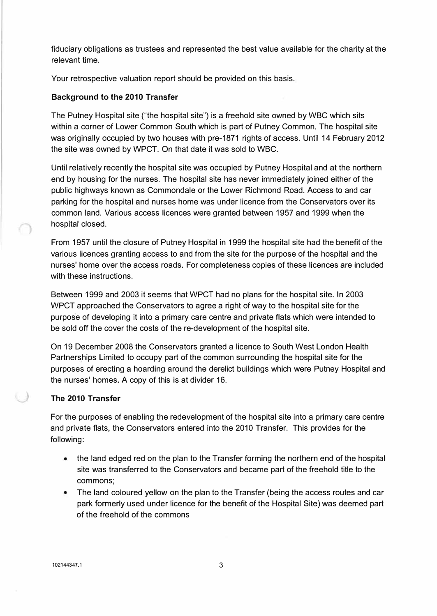fiduciary obligations as trustees and represented the best value available for the charity at the relevant time.

Your retrospective valuation report should be provided on this basis.

# **Background to the 2010 Transfer**

The Putney Hospital site ("the hospital site") is a freehold site owned by WBC which sits within a corner of Lower Common South which is part of Putney Common. The hospital site was originally occupied by two houses with pre-1871 rights of access. Until 14 February 2012 the site was owned by WPCT. On that date it was sold to WBC.

Until relatively recently the hospital site was occupied by Putney Hospital and at the northern end by housing for the nurses. The hospital site has never immediately joined either of the public highways known as Commondale or the Lower Richmond Road. Access to and car parking for the hospital and nurses home was under licence from the Conservators over its common land. Various access licences were granted between 1957 and 1999 when the hospital closed.

From 1957 until the closure of Putney Hospital in 1999 the hospital site had the benefit of the various licences granting access to and from the site for the purpose of the hospital and the nurses' home over the access roads. For completeness copies of these licences are included with these instructions.

Between 1999 and 2003 it seems that WPCT had no plans for the hospital site. In 2003 WPCT approached the Conservators to agree a right of way to the hospital site for the purpose of developing it into a primary care centre and private flats which were intended to be sold off the cover the costs of the re-development of the hospital site.

On 19 December 2008 the Conservators granted a licence to South West London Health Partnerships Limited to occupy part of the common surrounding the hospital site for the purposes of erecting a hoarding around the derelict buildings which were Putney Hospital and the nurses' homes. A copy of this is at divider 16.

### **The 2010 Transfer**

For the purposes of enabling the redevelopment of the hospital site into a primary care centre and private flats, the Conservators entered into the 2010 Transfer. This provides for the following:

- the land edged red on the plan to the Transfer forming the northern end of the hospital site was transferred to the Conservators and became part of the freehold title to the commons;
- The land coloured yellow on the plan to the Transfer (being the access routes and car park formerly used under licence for the benefit of the Hospital Site) was deemed part of the freehold of the commons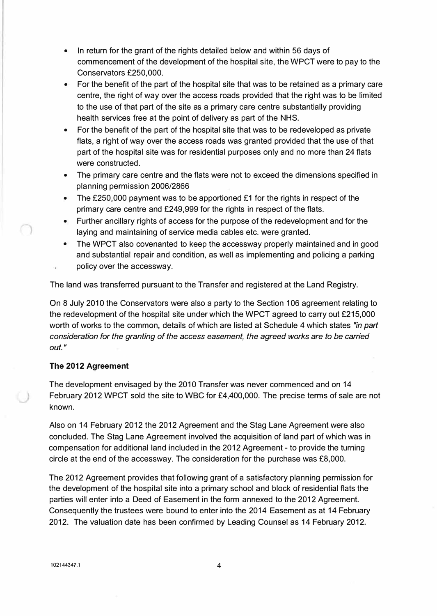- In return for the grant of the rights detailed below and within 56 days of commencement of the development of the hospital site, the WPCT were to pay to the Conservators £250,000.
- For the benefit of the part of the hospital site that was to be retained as a primary care centre, the right of way over the access roads provided that the right was to be limited to the use of that part of the site as a primary care centre substantially providing health services free at the point of delivery as part of the NHS.
- For the benefit of the part of the hospital site that was to be redeveloped as private flats, a right of way over the access roads was granted provided that the use of that part of the hospital site was for residential purposes only and no more than 24 flats were constructed.
- The primary care centre and the flats were not to exceed the dimensions specified in planning permission 2006/2866
- The £250,000 payment was to be apportioned £1 for the rights in respect of the primary care centre and £249,999 for the rights in respect of the flats.
- Further ancillary rights of access for the purpose of the redevelopment and for the laying and maintaining of service media cables etc. were granted.
- The WPCT also covenanted to keep the accessway properly maintained and in good and substantial repair and condition, as well as implementing and policing a parking policy over the accessway.

The land was transferred pursuant to the Transfer and registered at the Land Registry.

On 8 July 2010 the Conservators were also a party to the Section 106 agreement relating to the redevelopment of the hospital site under which the WPCT agreed to carry out £215,000 worth of works to the common, details of which are listed at Schedule 4 which states *"in part consideration for the granting of the access easement, the agreed works are to be carried out."* 

### **The 2012 Agreement**

The development envisaged by the 2010 Transfer was never commenced and on 14 February 2012 WPCT sold the site to WBC for £4,400,000. The precise terms of sale are not known.

Also on 14 February 2012 the 2012 Agreement and the Stag Lane Agreement were also concluded. The Stag Lane Agreement involved the acquisition of land part of which was in compensation for additional land included in the 2012 Agreement - to provide the turning circle at the end of the accessway. The consideration for the purchase was £8,000.

The 2012 Agreement provides that following grant of a satisfactory planning permission for the development of the hospital site into a primary school and block of residential flats the parties will enter into a Deed of Easement in the form annexed to the 2012 Agreement. Consequently the trustees were bound to enter into the 2014 Easement as at 14 February 2012. The valuation date has been confirmed by Leading Counsel as 14 February 2012.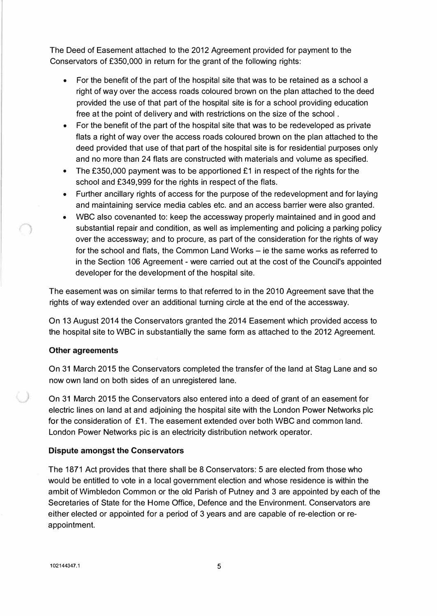The Deed of Easement attached to the 2012 Agreement provided for payment to the Conservators of £350,000 in return for the grant of the following rights:

- For the benefit of the part of the hospital site that was to be retained as a school a right of way over the access roads coloured brown on the plan attached to the deed provided the use of that part of the hospital site is for a school providing education free at the point of delivery and with restrictions on the size of the school .
- For the benefit of the part of the hospital site that was to be redeveloped as private flats a right of way over the access roads coloured brown on the plan attached to the deed provided that use of that part of the hospital site is for residential purposes only and no more than 24 flats are constructed with materials and volume as specified.
- The £350,000 payment was to be apportioned £1 in respect of the rights for the school and £349,999 for the rights in respect of the flats.
- Further ancillary rights of access for the purpose of the redevelopment and for laying and maintaining service media cables etc. and an access barrier were also granted.
- WBC also covenanted to: keep the accessway properly maintained and in good and substantial repair and condition, as well as implementing and policing a parking policy over the accessway; and to procure, as part of the consideration for the rights of way for the school and flats, the Common Land Works – ie the same works as referred to in the Section 106 Agreement - were carried out at the cost of the Council's appointed developer for the development of the hospital site.

The easement was on similar terms to that referred to in the 2010 Agreement save that the rights of way extended over an additional turning circle at the end of the accessway.

On 13 August 2014 the Conservators granted the 2014 Easement which provided access to the hospital site to WBC in substantially the same form as attached to the 2012 Agreement.

#### **Other agreements**

On 31 March 2015 the Conservators completed the transfer of the land at Stag Lane and so now own land on both sides of an unregistered lane.

On 31 March 2015 the Conservators also entered into a deed of grant of an easement for electric lines on land at and adjoining the hospital site with the London Power Networks pie for the consideration of £1. The easement extended over both WBC and common land. London Power Networks pie is an electricity distribution network operator.

#### **Dispute amongst the Conservators**

The 1871 Act provides that there shall be 8 Conservators: 5 are elected from those who would be entitled to vote in a local government election and whose residence is within the ambit of Wimbledon Common or the old Parish of Putney and 3 are appointed by each of the Secretaries of State for the Home Office, Defence and the Environment. Conservators are either elected or appointed for a period of 3 years and are capable of re-election or reappointment.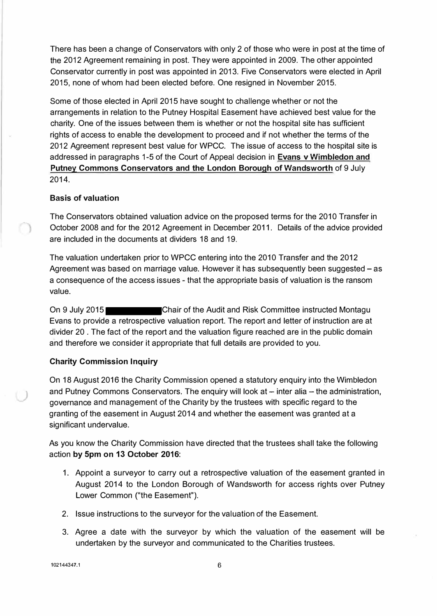There has been a change of Conservators with only 2 of those who were in post at the time of the 2012 Agreement remaining in post. They were appointed in 2009. The other appointed Conservator currently in post was appointed in 2013. Five Conservators were elected in April 2015, none of whom had been elected before. One resigned in November 2015.

Some of those elected in April 2015 have sought to challenge whether or not the arrangements in relation to the Putney Hospital Easement have achieved best value for the charity. One of the issues between them is whether or not the hospital site has sufficient rights of access to enable the development to proceed and if not whether the terms of the 2012 Agreement represent best value for WPCC. The issue of access to the hospital site is addressed in paragraphs 1-5 of the Court of Appeal decision in **Evans v Wimbledon and Putney Commons Conservators and the London Borough of Wandsworth** of 9 July 2014.

### **Basis of valuation**

The Conservators obtained valuation advice on the proposed terms for the 2010 Transfer in October 2008 and for the 2012 Agreement in December 2011. Details of the advice provided are included in the documents at dividers 18 and 19.

The valuation undertaken prior to WPCC entering into the 2010 Transfer and the 2012 Agreement was based on marriage value. However it has subsequently been suggested - as a consequence of the access issues - that the appropriate basis of valuation is the ransom value.

On 9 July 2015 Chair of the Audit and Risk Committee instructed Montagu Evans to provide a retrospective valuation report. The report and letter of instruction are at divider 20 . The fact of the report and the valuation figure reached are in the public domain and therefore we consider it appropriate that full details are provided to you.

#### **Charity Commission Inquiry**

On 18 August 2016 the Charity Commission opened a statutory enquiry into the Wimbledon and Putney Commons Conservators. The enquiry will look at  $-$  inter alia  $-$  the administration, governance and management of the Charity by the trustees with specific regard to the granting of the easement in August 2014 and whether the easement was granted at a significant undervalue.

As you know the Charity Commission have directed that the trustees shall take the following action **by 5pm on 13 October 2016:** 

- 1. Appoint a surveyor to carry out a retrospective valuation of the easement granted in August 2014 to the London Borough of Wandsworth for access rights over Putney Lower Common ("the Easement").
- 2. Issue instructions to the surveyor for the valuation of the Easement.
- 3. Agree a date with the surveyor by which the valuation of the easement will be undertaken by the surveyor and communicated to the Charities trustees.

**102144347.1** 6

*)*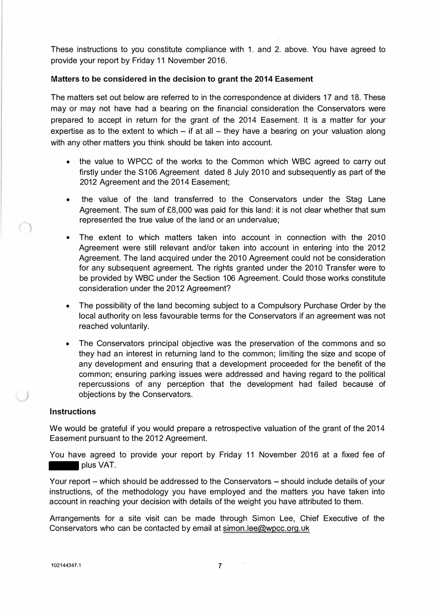These instructions to you constitute compliance with 1. and 2. above. You have agreed to provide your report by Friday 11 November 2016.

#### **Matters to be considered in the decision to grant the 2014 Easement**

The matters set out below are referred to in the correspondence at dividers 17 and 18. These may or may not have had a bearing on the financial consideration the Conservators were prepared to accept in return for the grant of the 2014 Easement. It is a matter for your expertise as to the extent to which  $-$  if at all  $-$  they have a bearing on your valuation along with any other matters you think should be taken into account.

- the value to WPCC of the works to the Common which WBC agreed to carry out firstly under the S106 Agreement dated 8 July 2010 and subsequently as part of the 2012 Agreement and the 2014 Easement;
- the value of the land transferred to the Conservators under the Stag Lane Agreement. The sum of £8,000 was paid for this land: it is not clear whether that sum represented the true value of the land or an undervalue;
- The extent to which matters taken into account in connection with the 2010 Agreement were still relevant and/or taken into account in entering into the 2012 Agreement. The land acquired under the 2010 Agreement could not be consideration for any subsequent agreement. The rights granted under the 2010 Transfer were to be provided by WBC under the Section 106 Agreement. Could those works constitute consideration under the 2012 Agreement?
- The possibility of the land becoming subject to a Compulsory Purchase Order by the local authority on less favourable terms for the Conservators if an agreement was not reached voluntarily.
- The Conservators principal objective was the preservation of the commons and so they had an interest in returning land to the common; limiting the size and scope of any development and ensuring that a development proceeded for the benefit of the common; ensuring parking issues were addressed and having regard to\_ the political repercussions of any perception that the development had failed because of objections by the Conservators.

#### **Instructions**

We would be grateful if you would prepare a retrospective valuation of the grant of the 2014 Easement pursuant to the 2012 Agreement.

You have agreed to provide your report by Friday 11 November 2016 at a fixed fee of plus VAT.

Your report - which should be addressed to the Conservators - should include details of your instructions, of the methodology you have employed and the matters you have taken into account in reaching your decision with details of the weight you have attributed to them.

Arrangements for a site visit can be made through Simon Lee, Chief Executive of the Conservators who can be contacted by email at simon.lee@wpcc.org.uk